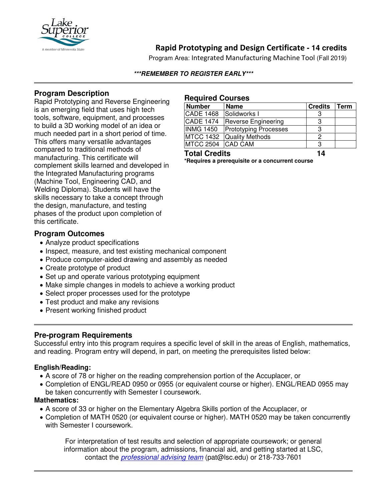

# **Rapid Prototyping and Design Certificate - 14 credits**

Program Area: Integrated Manufacturing Machine Tool (Fall 2019)

#### **\*\*\*REMEMBER TO REGISTER EARLY\*\*\***

## **Program Description**

Rapid Prototyping and Reverse Engineering is an emerging field that uses high tech tools, software, equipment, and processes to build a 3D working model of an idea or much needed part in a short period of time. This offers many versatile advantages compared to traditional methods of manufacturing. This certificate will complement skills learned and developed in the Integrated Manufacturing programs (Machine Tool, Engineering CAD, and Welding Diploma). Students will have the skills necessary to take a concept through the design, manufacture, and testing phases of the product upon completion of this certificate.

### **Program Outcomes**

- Analyze product specifications
- Inspect, measure, and test existing mechanical component
- Produce computer-aided drawing and assembly as needed
- Create prototype of product
- Set up and operate various prototyping equipment
- Make simple changes in models to achieve a working product
- Select proper processes used for the prototype
- Test product and make any revisions
- Present working finished product

## **Pre-program Requirements**

Successful entry into this program requires a specific level of skill in the areas of English, mathematics, and reading. Program entry will depend, in part, on meeting the prerequisites listed below:

#### **English/Reading:**

- A score of 78 or higher on the reading comprehension portion of the Accuplacer, or
- Completion of ENGL/READ 0950 or 0955 (or equivalent course or higher). ENGL/READ 0955 may be taken concurrently with Semester I coursework.

#### **Mathematics:**

- A score of 33 or higher on the Elementary Algebra Skills portion of the Accuplacer, or
- Completion of MATH 0520 (or equivalent course or higher). MATH 0520 may be taken concurrently with Semester I coursework.

For interpretation of test results and selection of appropriate coursework; or general information about the program, admissions, financial aid, and getting started at LSC, contact the *[professional advising team](mailto:pat@lsc.edu)* (pat@lsc.edu) or 218-733-7601

#### **Required Courses**

| <b>Number</b>        | <b>Name</b>                  | <b>Credits</b> | Term |
|----------------------|------------------------------|----------------|------|
| <b>CADE 1468</b>     | Solidworks I                 |                |      |
| <b>CADE 1474</b>     | <b>Reverse Engineering</b>   | З              |      |
| <b>INMG 1450</b>     | <b>Prototyping Processes</b> | З              |      |
|                      | MTCC 1432 Quality Methods    |                |      |
| MTCC 2504 CAD CAM    |                              | З              |      |
| <b>Total Credits</b> |                              | 14             |      |

**\*Requires a prerequisite or a concurrent course**